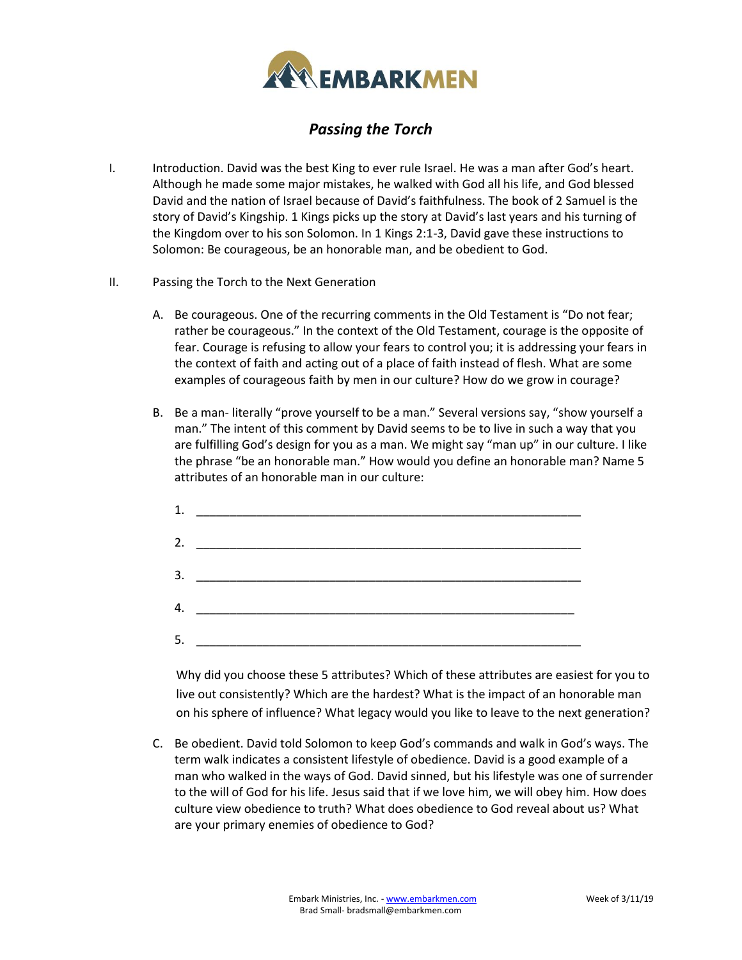

## *Passing the Torch*

- I. Introduction. David was the best King to ever rule Israel. He was a man after God's heart. Although he made some major mistakes, he walked with God all his life, and God blessed David and the nation of Israel because of David's faithfulness. The book of 2 Samuel is the story of David's Kingship. 1 Kings picks up the story at David's last years and his turning of the Kingdom over to his son Solomon. In 1 Kings 2:1-3, David gave these instructions to Solomon: Be courageous, be an honorable man, and be obedient to God.
- II. Passing the Torch to the Next Generation
	- A. Be courageous. One of the recurring comments in the Old Testament is "Do not fear; rather be courageous." In the context of the Old Testament, courage is the opposite of fear. Courage is refusing to allow your fears to control you; it is addressing your fears in the context of faith and acting out of a place of faith instead of flesh. What are some examples of courageous faith by men in our culture? How do we grow in courage?
	- B. Be a man- literally "prove yourself to be a man." Several versions say, "show yourself a man." The intent of this comment by David seems to be to live in such a way that you are fulfilling God's design for you as a man. We might say "man up" in our culture. I like the phrase "be an honorable man." How would you define an honorable man? Name 5 attributes of an honorable man in our culture:

|    | 2. $\qquad \qquad$                                                  |  |
|----|---------------------------------------------------------------------|--|
|    |                                                                     |  |
|    | 4.                                                                  |  |
| 5. | <u> 1989 - Johann Stein, mars an deus Amerikaansk kommunister (</u> |  |

 Why did you choose these 5 attributes? Which of these attributes are easiest for you to live out consistently? Which are the hardest? What is the impact of an honorable man on his sphere of influence? What legacy would you like to leave to the next generation?

C. Be obedient. David told Solomon to keep God's commands and walk in God's ways. The term walk indicates a consistent lifestyle of obedience. David is a good example of a man who walked in the ways of God. David sinned, but his lifestyle was one of surrender to the will of God for his life. Jesus said that if we love him, we will obey him. How does culture view obedience to truth? What does obedience to God reveal about us? What are your primary enemies of obedience to God?